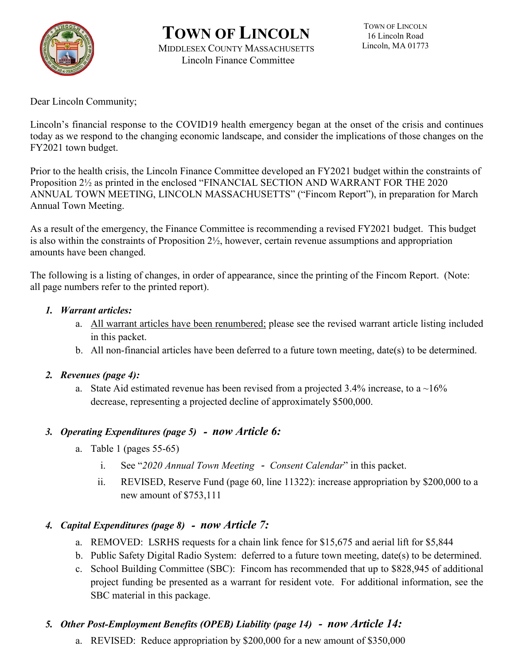

# **TOWN OF LINCOLN** MIDDLESEX COUNTY MASSACHUSETTS Lincoln Finance Committee

Dear Lincoln Community;

Lincoln's financial response to the COVID19 health emergency began at the onset of the crisis and continues today as we respond to the changing economic landscape, and consider the implications of those changes on the FY2021 town budget.

Prior to the health crisis, the Lincoln Finance Committee developed an FY2021 budget within the constraints of Proposition 2½ as printed in the enclosed "FINANCIAL SECTION AND WARRANT FOR THE 2020 ANNUAL TOWN MEETING, LINCOLN MASSACHUSETTS" ("Fincom Report"), in preparation for March Annual Town Meeting.

As a result of the emergency, the Finance Committee is recommending a revised FY2021 budget. This budget is also within the constraints of Proposition 2½, however, certain revenue assumptions and appropriation amounts have been changed.

The following is a listing of changes, in order of appearance, since the printing of the Fincom Report. (Note: all page numbers refer to the printed report).

#### *1. Warrant articles:*

- a. All warrant articles have been renumbered; please see the revised warrant article listing included in this packet.
- b. All non-financial articles have been deferred to a future town meeting, date(s) to be determined.

#### *2. Revenues (page 4):*

a. State Aid estimated revenue has been revised from a projected 3.4% increase, to a  $\sim$ 16% decrease, representing a projected decline of approximately \$500,000.

### *3. Operating Expenditures (page 5)* - *now Article 6:*

- a. Table 1 (pages 55-65)
	- i. See "*2020 Annual Town Meeting Consent Calendar*" in this packet.
	- ii. REVISED, Reserve Fund (page 60, line 11322): increase appropriation by \$200,000 to a new amount of \$753,111

### *4. Capital Expenditures (page 8)* - *now Article 7:*

- a. REMOVED: LSRHS requests for a chain link fence for \$15,675 and aerial lift for \$5,844
- b. Public Safety Digital Radio System: deferred to a future town meeting, date(s) to be determined.
- c. School Building Committee (SBC): Fincom has recommended that up to \$828,945 of additional project funding be presented as a warrant for resident vote. For additional information, see the SBC material in this package.

# *5. Other Post-Employment Benefits (OPEB) Liability (page 14)* - *now Article 14:*

a. REVISED: Reduce appropriation by \$200,000 for a new amount of \$350,000